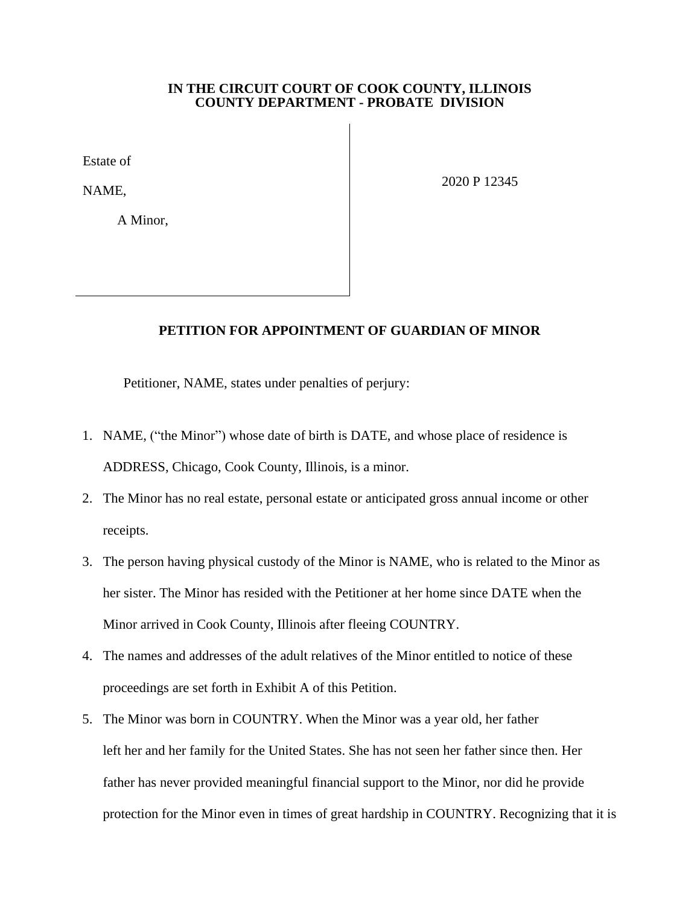## **IN THE CIRCUIT COURT OF COOK COUNTY, ILLINOIS COUNTY DEPARTMENT - PROBATE DIVISION**

Estate of

NAME,

A Minor,

2020 P 12345

## **PETITION FOR APPOINTMENT OF GUARDIAN OF MINOR**

Petitioner, NAME, states under penalties of perjury:

- 1. NAME, ("the Minor") whose date of birth is DATE, and whose place of residence is ADDRESS, Chicago, Cook County, Illinois, is a minor.
- 2. The Minor has no real estate, personal estate or anticipated gross annual income or other receipts.
- 3. The person having physical custody of the Minor is NAME, who is related to the Minor as her sister. The Minor has resided with the Petitioner at her home since DATE when the Minor arrived in Cook County, Illinois after fleeing COUNTRY.
- 4. The names and addresses of the adult relatives of the Minor entitled to notice of these proceedings are set forth in Exhibit A of this Petition.
- 5. The Minor was born in COUNTRY. When the Minor was a year old, her father left her and her family for the United States. She has not seen her father since then. Her father has never provided meaningful financial support to the Minor, nor did he provide protection for the Minor even in times of great hardship in COUNTRY. Recognizing that it is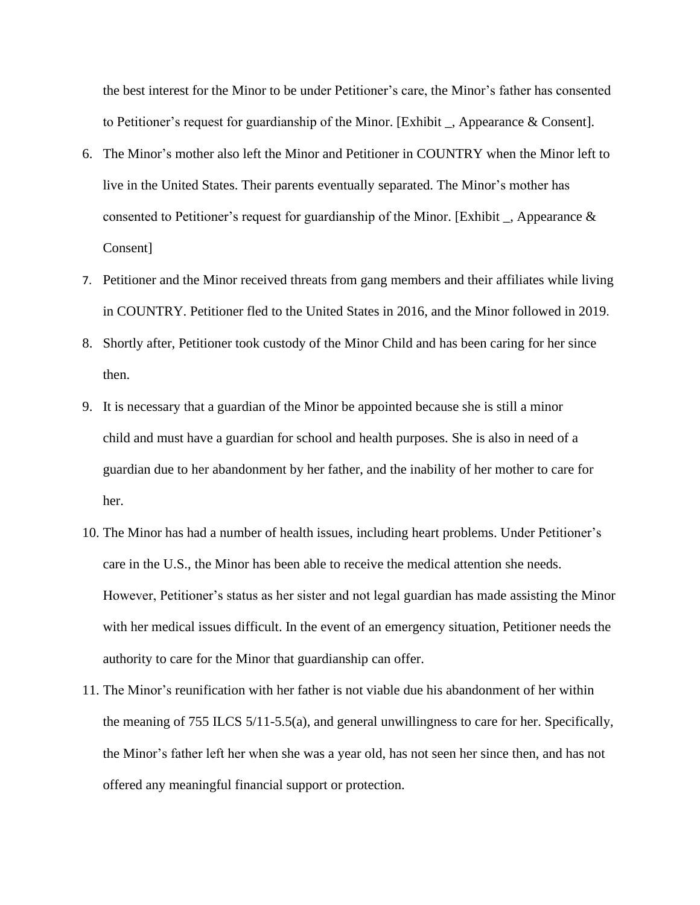the best interest for the Minor to be under Petitioner's care, the Minor's father has consented to Petitioner's request for guardianship of the Minor. [Exhibit \_, Appearance & Consent].

- 6. The Minor's mother also left the Minor and Petitioner in COUNTRY when the Minor left to live in the United States. Their parents eventually separated. The Minor's mother has consented to Petitioner's request for guardianship of the Minor. [Exhibit  $\Box$ , Appearance & Consent]
- 7. Petitioner and the Minor received threats from gang members and their affiliates while living in COUNTRY. Petitioner fled to the United States in 2016, and the Minor followed in 2019.
- 8. Shortly after, Petitioner took custody of the Minor Child and has been caring for her since then.
- 9. It is necessary that a guardian of the Minor be appointed because she is still a minor child and must have a guardian for school and health purposes. She is also in need of a guardian due to her abandonment by her father, and the inability of her mother to care for her.
- 10. The Minor has had a number of health issues, including heart problems. Under Petitioner's care in the U.S., the Minor has been able to receive the medical attention she needs. However, Petitioner's status as her sister and not legal guardian has made assisting the Minor with her medical issues difficult. In the event of an emergency situation, Petitioner needs the authority to care for the Minor that guardianship can offer.
- 11. The Minor's reunification with her father is not viable due his abandonment of her within the meaning of 755 ILCS 5/11-5.5(a), and general unwillingness to care for her. Specifically, the Minor's father left her when she was a year old, has not seen her since then, and has not offered any meaningful financial support or protection.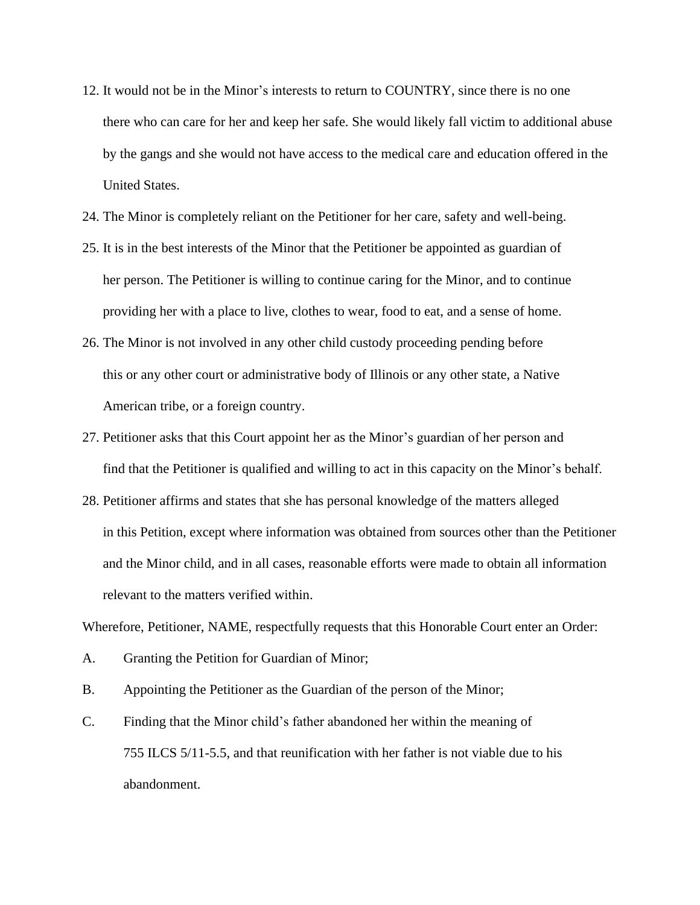- 12. It would not be in the Minor's interests to return to COUNTRY, since there is no one there who can care for her and keep her safe. She would likely fall victim to additional abuse by the gangs and she would not have access to the medical care and education offered in the United States.
- 24. The Minor is completely reliant on the Petitioner for her care, safety and well-being.
- 25. It is in the best interests of the Minor that the Petitioner be appointed as guardian of her person. The Petitioner is willing to continue caring for the Minor, and to continue providing her with a place to live, clothes to wear, food to eat, and a sense of home.
- 26. The Minor is not involved in any other child custody proceeding pending before this or any other court or administrative body of Illinois or any other state, a Native American tribe, or a foreign country.
- 27. Petitioner asks that this Court appoint her as the Minor's guardian of her person and find that the Petitioner is qualified and willing to act in this capacity on the Minor's behalf.
- 28. Petitioner affirms and states that she has personal knowledge of the matters alleged in this Petition, except where information was obtained from sources other than the Petitioner and the Minor child, and in all cases, reasonable efforts were made to obtain all information relevant to the matters verified within.

Wherefore, Petitioner, NAME, respectfully requests that this Honorable Court enter an Order:

- A. Granting the Petition for Guardian of Minor;
- B. Appointing the Petitioner as the Guardian of the person of the Minor;
- C. Finding that the Minor child's father abandoned her within the meaning of 755 ILCS 5/11-5.5, and that reunification with her father is not viable due to his abandonment.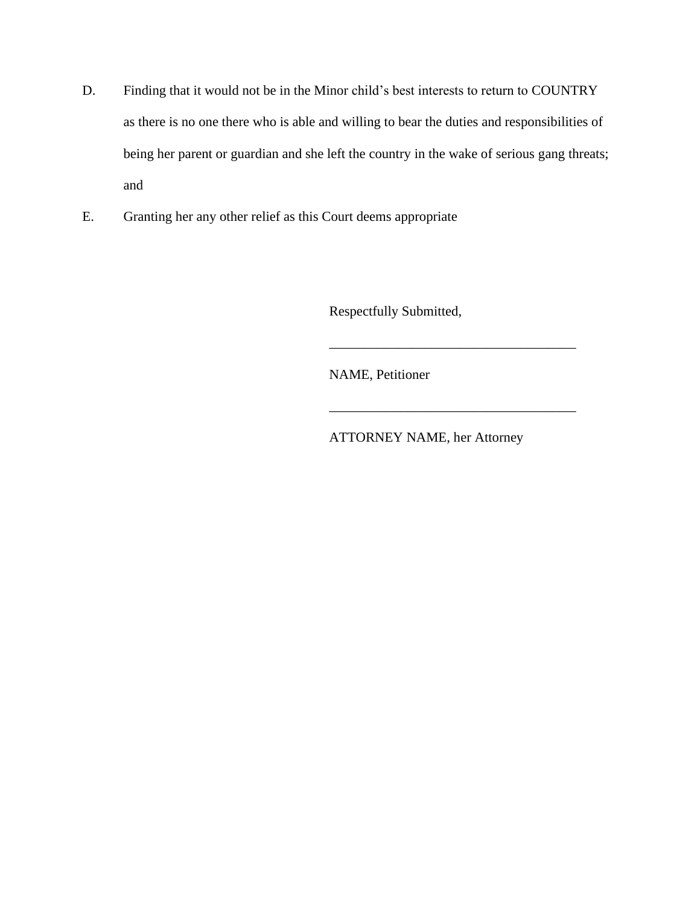- D. Finding that it would not be in the Minor child's best interests to return to COUNTRY as there is no one there who is able and willing to bear the duties and responsibilities of being her parent or guardian and she left the country in the wake of serious gang threats; and
- E. Granting her any other relief as this Court deems appropriate

Respectfully Submitted,

NAME, Petitioner

ATTORNEY NAME, her Attorney

\_\_\_\_\_\_\_\_\_\_\_\_\_\_\_\_\_\_\_\_\_\_\_\_\_\_\_\_\_\_\_\_\_\_\_\_

\_\_\_\_\_\_\_\_\_\_\_\_\_\_\_\_\_\_\_\_\_\_\_\_\_\_\_\_\_\_\_\_\_\_\_\_